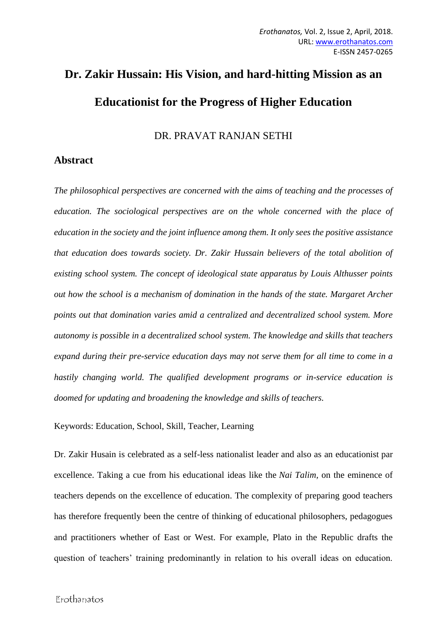## **Dr. Zakir Hussain: His Vision, and hard-hitting Mission as an Educationist for the Progress of Higher Education**

DR. PRAVAT RANJAN SETHI

## **Abstract**

*The philosophical perspectives are concerned with the aims of teaching and the processes of education. The sociological perspectives are on the whole concerned with the place of education in the society and the joint influence among them. It only sees the positive assistance that education does towards society. Dr. Zakir Hussain believers of the total abolition of existing school system. The concept of ideological state apparatus by Louis Althusser points out how the school is a mechanism of domination in the hands of the state. Margaret Archer points out that domination varies amid a centralized and decentralized school system. More autonomy is possible in a decentralized school system. The knowledge and skills that teachers expand during their pre-service education days may not serve them for all time to come in a hastily changing world. The qualified development programs or in-service education is doomed for updating and broadening the knowledge and skills of teachers.*

Keywords: Education, School, Skill, Teacher, Learning

Dr. Zakir Husain is celebrated as a self-less nationalist leader and also as an educationist par excellence. Taking a cue from his educational ideas like the *Nai Talim,* on the eminence of teachers depends on the excellence of education. The complexity of preparing good teachers has therefore frequently been the centre of thinking of educational philosophers, pedagogues and practitioners whether of East or West. For example, Plato in the Republic drafts the question of teachers' training predominantly in relation to his overall ideas on education.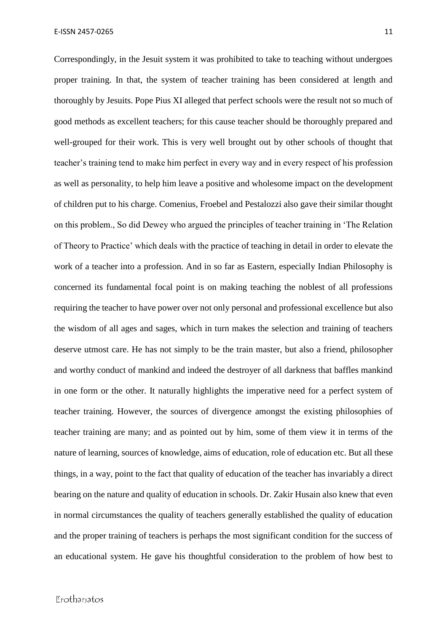Correspondingly, in the Jesuit system it was prohibited to take to teaching without undergoes proper training. In that, the system of teacher training has been considered at length and thoroughly by Jesuits. Pope Pius XI alleged that perfect schools were the result not so much of good methods as excellent teachers; for this cause teacher should be thoroughly prepared and well-grouped for their work. This is very well brought out by other schools of thought that teacher's training tend to make him perfect in every way and in every respect of his profession as well as personality, to help him leave a positive and wholesome impact on the development of children put to his charge. Comenius, Froebel and Pestalozzi also gave their similar thought on this problem., So did Dewey who argued the principles of teacher training in 'The Relation of Theory to Practice' which deals with the practice of teaching in detail in order to elevate the work of a teacher into a profession. And in so far as Eastern, especially Indian Philosophy is concerned its fundamental focal point is on making teaching the noblest of all professions requiring the teacher to have power over not only personal and professional excellence but also the wisdom of all ages and sages, which in turn makes the selection and training of teachers deserve utmost care. He has not simply to be the train master, but also a friend, philosopher and worthy conduct of mankind and indeed the destroyer of all darkness that baffles mankind in one form or the other. It naturally highlights the imperative need for a perfect system of teacher training. However, the sources of divergence amongst the existing philosophies of teacher training are many; and as pointed out by him, some of them view it in terms of the nature of learning, sources of knowledge, aims of education, role of education etc. But all these things, in a way, point to the fact that quality of education of the teacher has invariably a direct bearing on the nature and quality of education in schools. Dr. Zakir Husain also knew that even in normal circumstances the quality of teachers generally established the quality of education and the proper training of teachers is perhaps the most significant condition for the success of an educational system. He gave his thoughtful consideration to the problem of how best to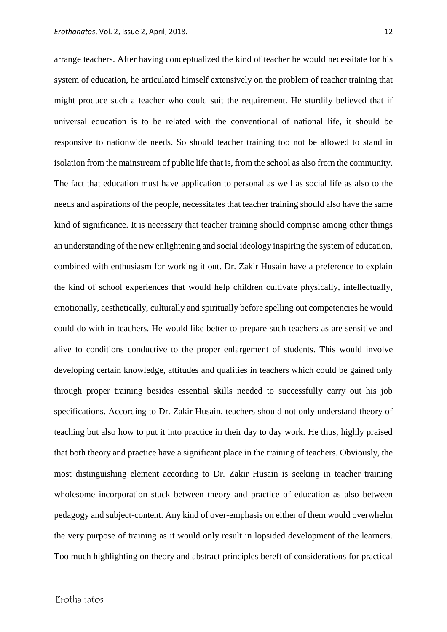arrange teachers. After having conceptualized the kind of teacher he would necessitate for his system of education, he articulated himself extensively on the problem of teacher training that might produce such a teacher who could suit the requirement. He sturdily believed that if universal education is to be related with the conventional of national life, it should be responsive to nationwide needs. So should teacher training too not be allowed to stand in isolation from the mainstream of public life that is, from the school as also from the community. The fact that education must have application to personal as well as social life as also to the needs and aspirations of the people, necessitates that teacher training should also have the same kind of significance. It is necessary that teacher training should comprise among other things an understanding of the new enlightening and social ideology inspiring the system of education, combined with enthusiasm for working it out. Dr. Zakir Husain have a preference to explain the kind of school experiences that would help children cultivate physically, intellectually, emotionally, aesthetically, culturally and spiritually before spelling out competencies he would could do with in teachers. He would like better to prepare such teachers as are sensitive and alive to conditions conductive to the proper enlargement of students. This would involve developing certain knowledge, attitudes and qualities in teachers which could be gained only through proper training besides essential skills needed to successfully carry out his job specifications. According to Dr. Zakir Husain, teachers should not only understand theory of teaching but also how to put it into practice in their day to day work. He thus, highly praised that both theory and practice have a significant place in the training of teachers. Obviously, the most distinguishing element according to Dr. Zakir Husain is seeking in teacher training wholesome incorporation stuck between theory and practice of education as also between pedagogy and subject-content. Any kind of over-emphasis on either of them would overwhelm the very purpose of training as it would only result in lopsided development of the learners. Too much highlighting on theory and abstract principles bereft of considerations for practical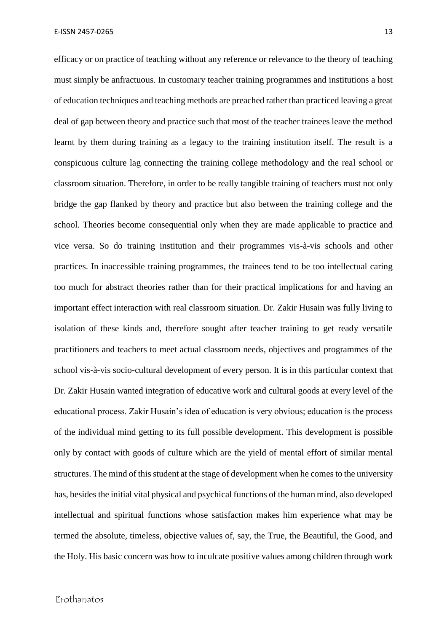efficacy or on practice of teaching without any reference or relevance to the theory of teaching must simply be anfractuous. In customary teacher training programmes and institutions a host of education techniques and teaching methods are preached rather than practiced leaving a great deal of gap between theory and practice such that most of the teacher trainees leave the method learnt by them during training as a legacy to the training institution itself. The result is a conspicuous culture lag connecting the training college methodology and the real school or classroom situation. Therefore, in order to be really tangible training of teachers must not only bridge the gap flanked by theory and practice but also between the training college and the school. Theories become consequential only when they are made applicable to practice and vice versa. So do training institution and their programmes vis-à-vis schools and other practices. In inaccessible training programmes, the trainees tend to be too intellectual caring too much for abstract theories rather than for their practical implications for and having an important effect interaction with real classroom situation. Dr. Zakir Husain was fully living to isolation of these kinds and, therefore sought after teacher training to get ready versatile practitioners and teachers to meet actual classroom needs, objectives and programmes of the school vis-à-vis socio-cultural development of every person. It is in this particular context that Dr. Zakir Husain wanted integration of educative work and cultural goods at every level of the educational process. Zakir Husain's idea of education is very obvious; education is the process of the individual mind getting to its full possible development. This development is possible only by contact with goods of culture which are the yield of mental effort of similar mental structures. The mind of this student at the stage of development when he comes to the university has, besides the initial vital physical and psychical functions of the human mind, also developed intellectual and spiritual functions whose satisfaction makes him experience what may be termed the absolute, timeless, objective values of, say, the True, the Beautiful, the Good, and the Holy. His basic concern was how to inculcate positive values among children through work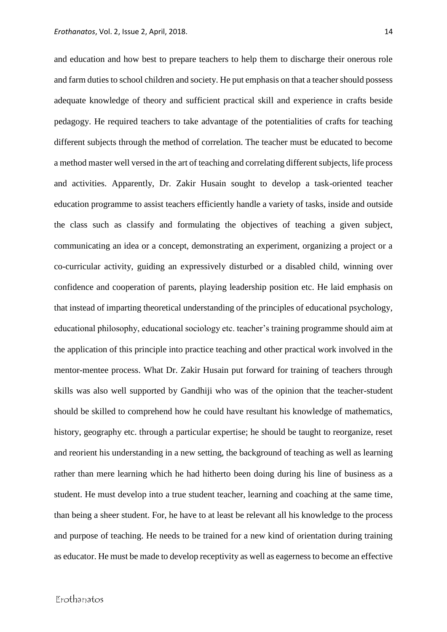and education and how best to prepare teachers to help them to discharge their onerous role and farm duties to school children and society. He put emphasis on that a teacher should possess adequate knowledge of theory and sufficient practical skill and experience in crafts beside pedagogy. He required teachers to take advantage of the potentialities of crafts for teaching different subjects through the method of correlation. The teacher must be educated to become a method master well versed in the art of teaching and correlating different subjects, life process and activities. Apparently, Dr. Zakir Husain sought to develop a task-oriented teacher education programme to assist teachers efficiently handle a variety of tasks, inside and outside the class such as classify and formulating the objectives of teaching a given subject, communicating an idea or a concept, demonstrating an experiment, organizing a project or a co-curricular activity, guiding an expressively disturbed or a disabled child, winning over confidence and cooperation of parents, playing leadership position etc. He laid emphasis on that instead of imparting theoretical understanding of the principles of educational psychology, educational philosophy, educational sociology etc. teacher's training programme should aim at the application of this principle into practice teaching and other practical work involved in the mentor-mentee process. What Dr. Zakir Husain put forward for training of teachers through skills was also well supported by Gandhiji who was of the opinion that the teacher-student should be skilled to comprehend how he could have resultant his knowledge of mathematics, history, geography etc. through a particular expertise; he should be taught to reorganize, reset and reorient his understanding in a new setting, the background of teaching as well as learning rather than mere learning which he had hitherto been doing during his line of business as a student. He must develop into a true student teacher, learning and coaching at the same time, than being a sheer student. For, he have to at least be relevant all his knowledge to the process and purpose of teaching. He needs to be trained for a new kind of orientation during training as educator. He must be made to develop receptivity as well as eagerness to become an effective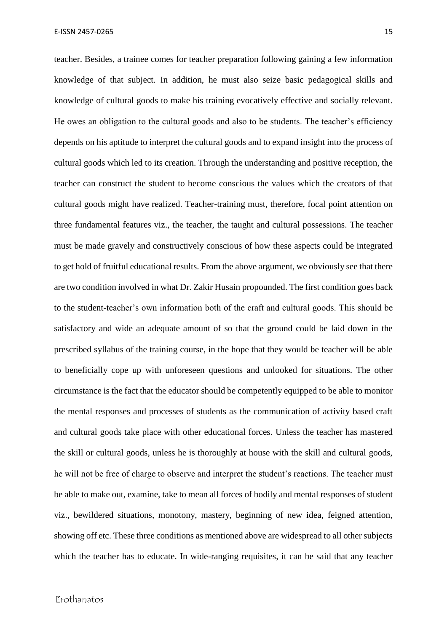teacher. Besides, a trainee comes for teacher preparation following gaining a few information knowledge of that subject. In addition, he must also seize basic pedagogical skills and knowledge of cultural goods to make his training evocatively effective and socially relevant. He owes an obligation to the cultural goods and also to be students. The teacher's efficiency depends on his aptitude to interpret the cultural goods and to expand insight into the process of cultural goods which led to its creation. Through the understanding and positive reception, the teacher can construct the student to become conscious the values which the creators of that cultural goods might have realized. Teacher-training must, therefore, focal point attention on three fundamental features viz., the teacher, the taught and cultural possessions. The teacher must be made gravely and constructively conscious of how these aspects could be integrated to get hold of fruitful educational results. From the above argument, we obviously see that there are two condition involved in what Dr. Zakir Husain propounded. The first condition goes back to the student-teacher's own information both of the craft and cultural goods. This should be satisfactory and wide an adequate amount of so that the ground could be laid down in the prescribed syllabus of the training course, in the hope that they would be teacher will be able to beneficially cope up with unforeseen questions and unlooked for situations. The other circumstance is the fact that the educator should be competently equipped to be able to monitor the mental responses and processes of students as the communication of activity based craft and cultural goods take place with other educational forces. Unless the teacher has mastered the skill or cultural goods, unless he is thoroughly at house with the skill and cultural goods, he will not be free of charge to observe and interpret the student's reactions. The teacher must be able to make out, examine, take to mean all forces of bodily and mental responses of student viz., bewildered situations, monotony, mastery, beginning of new idea, feigned attention, showing off etc. These three conditions as mentioned above are widespread to all other subjects which the teacher has to educate. In wide-ranging requisites, it can be said that any teacher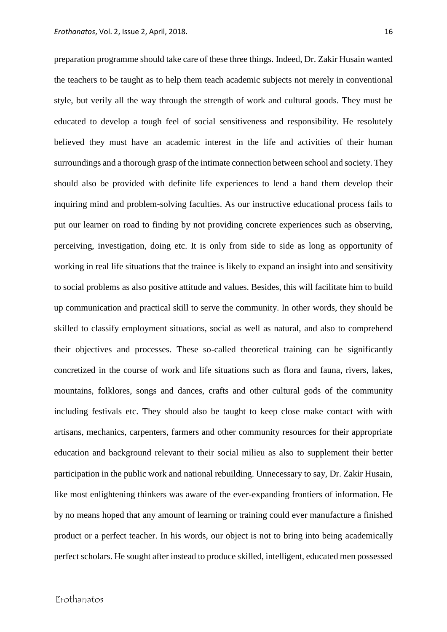preparation programme should take care of these three things. Indeed, Dr. Zakir Husain wanted the teachers to be taught as to help them teach academic subjects not merely in conventional style, but verily all the way through the strength of work and cultural goods. They must be educated to develop a tough feel of social sensitiveness and responsibility. He resolutely believed they must have an academic interest in the life and activities of their human surroundings and a thorough grasp of the intimate connection between school and society. They should also be provided with definite life experiences to lend a hand them develop their inquiring mind and problem-solving faculties. As our instructive educational process fails to put our learner on road to finding by not providing concrete experiences such as observing, perceiving, investigation, doing etc. It is only from side to side as long as opportunity of working in real life situations that the trainee is likely to expand an insight into and sensitivity to social problems as also positive attitude and values. Besides, this will facilitate him to build up communication and practical skill to serve the community. In other words, they should be skilled to classify employment situations, social as well as natural, and also to comprehend their objectives and processes. These so-called theoretical training can be significantly concretized in the course of work and life situations such as flora and fauna, rivers, lakes, mountains, folklores, songs and dances, crafts and other cultural gods of the community including festivals etc. They should also be taught to keep close make contact with with artisans, mechanics, carpenters, farmers and other community resources for their appropriate education and background relevant to their social milieu as also to supplement their better participation in the public work and national rebuilding. Unnecessary to say, Dr. Zakir Husain, like most enlightening thinkers was aware of the ever-expanding frontiers of information. He by no means hoped that any amount of learning or training could ever manufacture a finished product or a perfect teacher. In his words, our object is not to bring into being academically perfect scholars. He sought after instead to produce skilled, intelligent, educated men possessed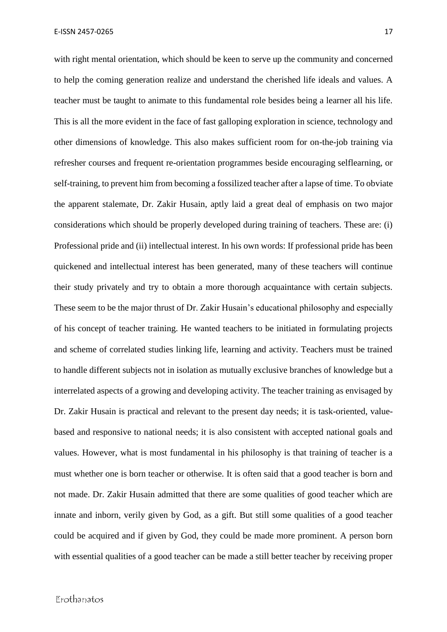with right mental orientation, which should be keen to serve up the community and concerned to help the coming generation realize and understand the cherished life ideals and values. A teacher must be taught to animate to this fundamental role besides being a learner all his life. This is all the more evident in the face of fast galloping exploration in science, technology and other dimensions of knowledge. This also makes sufficient room for on-the-job training via refresher courses and frequent re-orientation programmes beside encouraging selflearning, or self-training, to prevent him from becoming a fossilized teacher after a lapse of time. To obviate the apparent stalemate, Dr. Zakir Husain, aptly laid a great deal of emphasis on two major considerations which should be properly developed during training of teachers. These are: (i) Professional pride and (ii) intellectual interest. In his own words: If professional pride has been quickened and intellectual interest has been generated, many of these teachers will continue their study privately and try to obtain a more thorough acquaintance with certain subjects. These seem to be the major thrust of Dr. Zakir Husain's educational philosophy and especially of his concept of teacher training. He wanted teachers to be initiated in formulating projects and scheme of correlated studies linking life, learning and activity. Teachers must be trained to handle different subjects not in isolation as mutually exclusive branches of knowledge but a interrelated aspects of a growing and developing activity. The teacher training as envisaged by Dr. Zakir Husain is practical and relevant to the present day needs; it is task-oriented, valuebased and responsive to national needs; it is also consistent with accepted national goals and values. However, what is most fundamental in his philosophy is that training of teacher is a must whether one is born teacher or otherwise. It is often said that a good teacher is born and not made. Dr. Zakir Husain admitted that there are some qualities of good teacher which are innate and inborn, verily given by God, as a gift. But still some qualities of a good teacher could be acquired and if given by God, they could be made more prominent. A person born with essential qualities of a good teacher can be made a still better teacher by receiving proper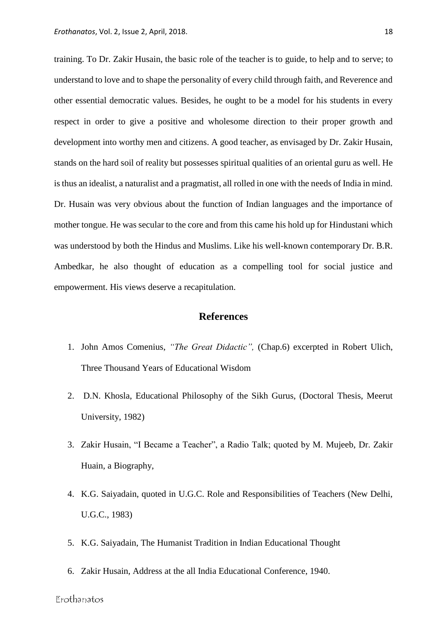training. To Dr. Zakir Husain, the basic role of the teacher is to guide, to help and to serve; to understand to love and to shape the personality of every child through faith, and Reverence and other essential democratic values. Besides, he ought to be a model for his students in every respect in order to give a positive and wholesome direction to their proper growth and development into worthy men and citizens. A good teacher, as envisaged by Dr. Zakir Husain, stands on the hard soil of reality but possesses spiritual qualities of an oriental guru as well. He is thus an idealist, a naturalist and a pragmatist, all rolled in one with the needs of India in mind. Dr. Husain was very obvious about the function of Indian languages and the importance of mother tongue. He was secular to the core and from this came his hold up for Hindustani which was understood by both the Hindus and Muslims. Like his well-known contemporary Dr. B.R. Ambedkar, he also thought of education as a compelling tool for social justice and empowerment. His views deserve a recapitulation.

## **References**

- 1. John Amos Comenius, *"The Great Didactic",* (Chap.6) excerpted in Robert Ulich, Three Thousand Years of Educational Wisdom
- 2. D.N. Khosla, Educational Philosophy of the Sikh Gurus, (Doctoral Thesis, Meerut University, 1982)
- 3. Zakir Husain, "I Became a Teacher", a Radio Talk; quoted by M. Mujeeb, Dr. Zakir Huain, a Biography,
- 4. K.G. Saiyadain, quoted in U.G.C. Role and Responsibilities of Teachers (New Delhi, U.G.C., 1983)
- 5. K.G. Saiyadain, The Humanist Tradition in Indian Educational Thought
- 6. Zakir Husain, Address at the all India Educational Conference, 1940.

Erothanatos